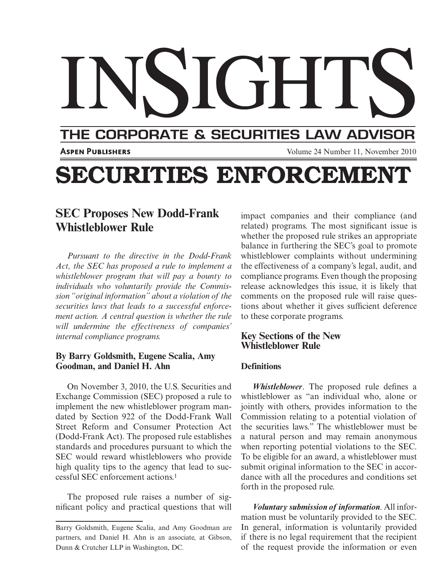# THE CORPORATE & SECURITIES LAW ADVISOR

**ASPEN PUBLISHERS** THE 24 Number 11, November 2010

# **SECURITIES ENFORCEMENT**

# **SEC Proposes New Dodd-Frank Whistleblower Rule**

*Pursuant to the directive in the Dodd-Frank Act, the SEC has proposed a rule to implement a whistleblower program that will pay a bounty to individuals who voluntarily provide the Commission "original information" about a violation of the securities laws that leads to a successful enforcement action. A central question is whether the rule will undermine the effectiveness of companies' internal compliance programs.*

#### **By Barry Goldsmith, Eugene Scalia, Amy Goodman, and Daniel H. Ahn**

 On November 3, 2010, the U.S. Securities and Exchange Commission (SEC) proposed a rule to implement the new whistleblower program mandated by Section 922 of the Dodd-Frank Wall Street Reform and Consumer Protection Act (Dodd-Frank Act). The proposed rule establishes standards and procedures pursuant to which the SEC would reward whistleblowers who provide high quality tips to the agency that lead to successful SEC enforcement actions. 1

 The proposed rule raises a number of significant policy and practical questions that will impact companies and their compliance (and related) programs. The most significant issue is whether the proposed rule strikes an appropriate balance in furthering the SEC's goal to promote whistleblower complaints without undermining the effectiveness of a company's legal, audit, and compliance programs. Even though the proposing release acknowledges this issue, it is likely that comments on the proposed rule will raise questions about whether it gives sufficient deference to these corporate programs.

#### **Key Sections of the New Whistleblower Rule**

#### **Definitions**

*Whistleblower*. The proposed rule defines a whistleblower as "an individual who, alone or jointly with others, provides information to the Commission relating to a potential violation of the securities laws." The whistleblower must be a natural person and may remain anonymous when reporting potential violations to the SEC. To be eligible for an award, a whistleblower must submit original information to the SEC in accordance with all the procedures and conditions set forth in the proposed rule.

 *Voluntary submission of information* . All information must be voluntarily provided to the SEC. In general, information is voluntarily provided if there is no legal requirement that the recipient of the request provide the information or even

Barry Goldsmith, Eugene Scalia, and Amy Goodman are partners, and Daniel H. Ahn is an associate, at Gibson, Dunn & Crutcher LLP in Washington, DC.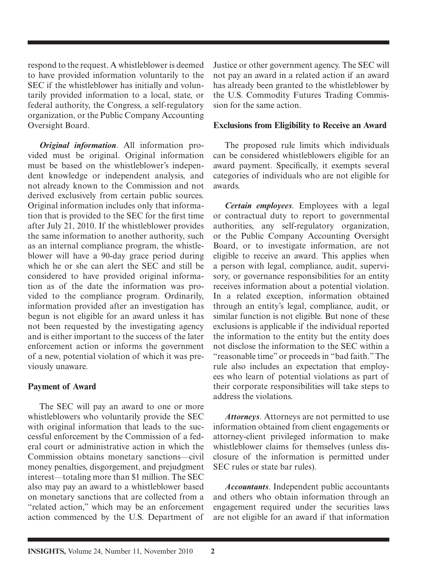respond to the request. A whistleblower is deemed to have provided information voluntarily to the SEC if the whistleblower has initially and voluntarily provided information to a local, state, or federal authority, the Congress, a self-regulatory organization, or the Public Company Accounting Oversight Board.

 *Original information* . All information provided must be original. Original information must be based on the whistleblower's independent knowledge or independent analysis, and not already known to the Commission and not derived exclusively from certain public sources. Original information includes only that information that is provided to the SEC for the first time after July 21, 2010. If the whistleblower provides the same information to another authority, such as an internal compliance program, the whistleblower will have a 90-day grace period during which he or she can alert the SEC and still be considered to have provided original information as of the date the information was provided to the compliance program. Ordinarily, information provided after an investigation has begun is not eligible for an award unless it has not been requested by the investigating agency and is either important to the success of the later enforcement action or informs the government of a new, potential violation of which it was previously unaware.

#### **Payment of Award**

 The SEC will pay an award to one or more whistleblowers who voluntarily provide the SEC with original information that leads to the successful enforcement by the Commission of a federal court or administrative action in which the Commission obtains monetary sanctions—civil money penalties, disgorgement, and prejudgment interest—totaling more than \$1 million. The SEC also may pay an award to a whistleblower based on monetary sanctions that are collected from a "related action," which may be an enforcement action commenced by the U.S. Department of Justice or other government agency. The SEC will not pay an award in a related action if an award has already been granted to the whistleblower by the U.S. Commodity Futures Trading Commission for the same action.

#### **Exclusions from Eligibility to Receive an Award**

 The proposed rule limits which individuals can be considered whistleblowers eligible for an award payment. Specifically, it exempts several categories of individuals who are not eligible for awards.

*Certain employees* . Employees with a legal or contractual duty to report to governmental authorities, any self-regulatory organization, or the Public Company Accounting Oversight Board, or to investigate information, are not eligible to receive an award. This applies when a person with legal, compliance, audit, supervisory, or governance responsibilities for an entity receives information about a potential violation. In a related exception, information obtained through an entity's legal, compliance, audit, or similar function is not eligible. But none of these exclusions is applicable if the individual reported the information to the entity but the entity does not disclose the information to the SEC within a "reasonable time" or proceeds in "bad faith." The rule also includes an expectation that employees who learn of potential violations as part of their corporate responsibilities will take steps to address the violations.

*Attorneys* . Attorneys are not permitted to use information obtained from client engagements or attorney-client privileged information to make whistleblower claims for themselves (unless disclosure of the information is permitted under SEC rules or state bar rules).

 *Accountants* . Independent public accountants and others who obtain information through an engagement required under the securities laws are not eligible for an award if that information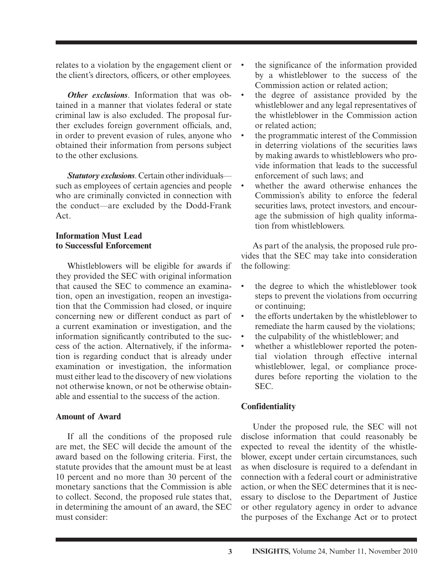relates to a violation by the engagement client or the client's directors, officers, or other employees.

*Other exclusions.* Information that was obtained in a manner that violates federal or state criminal law is also excluded. The proposal further excludes foreign government officials, and, in order to prevent evasion of rules, anyone who obtained their information from persons subject to the other exclusions.

 *Statutory exclusions* . Certain other individuals such as employees of certain agencies and people who are criminally convicted in connection with the conduct—are excluded by the Dodd-Frank Act.

#### **Information Must Lead to Successful Enforcement**

 Whistleblowers will be eligible for awards if they provided the SEC with original information that caused the SEC to commence an examination, open an investigation, reopen an investigation that the Commission had closed, or inquire concerning new or different conduct as part of a current examination or investigation, and the information significantly contributed to the success of the action. Alternatively, if the information is regarding conduct that is already under examination or investigation, the information must either lead to the discovery of new violations not otherwise known, or not be otherwise obtainable and essential to the success of the action.

#### **Amount of Award**

 If all the conditions of the proposed rule are met, the SEC will decide the amount of the award based on the following criteria. First, the statute provides that the amount must be at least 10 percent and no more than 30 percent of the monetary sanctions that the Commission is able to collect. Second, the proposed rule states that, in determining the amount of an award, the SEC must consider:

- the significance of the information provided by a whistleblower to the success of the Commission action or related action;
- the degree of assistance provided by the whistleblower and any legal representatives of the whistleblower in the Commission action or related action;
- the programmatic interest of the Commission in deterring violations of the securities laws by making awards to whistleblowers who provide information that leads to the successful enforcement of such laws; and
- whether the award otherwise enhances the Commission's ability to enforce the federal securities laws, protect investors, and encourage the submission of high quality information from whistleblowers.

 As part of the analysis, the proposed rule provides that the SEC may take into consideration the following:

- the degree to which the whistleblower took steps to prevent the violations from occurring or continuing;
- the efforts undertaken by the whistleblower to remediate the harm caused by the violations;
- the culpability of the whistleblower; and
- whether a whistleblower reported the potential violation through effective internal whistleblower, legal, or compliance procedures before reporting the violation to the SEC.

#### **Confidentiality**

 Under the proposed rule, the SEC will not disclose information that could reasonably be expected to reveal the identity of the whistleblower, except under certain circumstances, such as when disclosure is required to a defendant in connection with a federal court or administrative action, or when the SEC determines that it is necessary to disclose to the Department of Justice or other regulatory agency in order to advance the purposes of the Exchange Act or to protect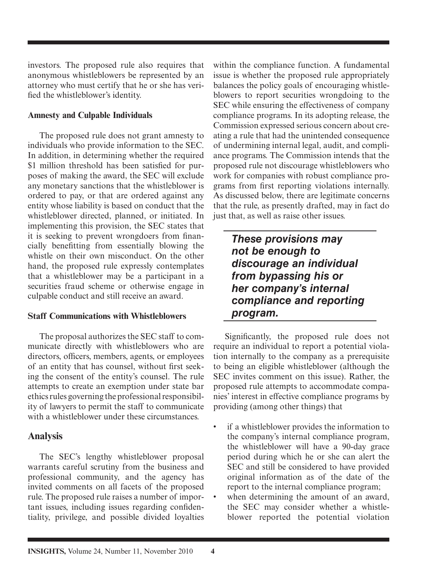investors. The proposed rule also requires that anonymous whistleblowers be represented by an attorney who must certify that he or she has verified the whistleblower's identity.

#### **Amnesty and Culpable Individuals**

 The proposed rule does not grant amnesty to individuals who provide information to the SEC. In addition, in determining whether the required \$1 million threshold has been satisfied for purposes of making the award, the SEC will exclude any monetary sanctions that the whistleblower is ordered to pay, or that are ordered against any entity whose liability is based on conduct that the whistleblower directed, planned, or initiated. In implementing this provision, the SEC states that it is seeking to prevent wrongdoers from financially benefitting from essentially blowing the whistle on their own misconduct. On the other hand, the proposed rule expressly contemplates that a whistleblower may be a participant in a securities fraud scheme or otherwise engage in culpable conduct and still receive an award.

#### **Staff Communications with Whistleblowers**

 The proposal authorizes the SEC staff to communicate directly with whistleblowers who are directors, officers, members, agents, or employees of an entity that has counsel, without first seeking the consent of the entity's counsel. The rule attempts to create an exemption under state bar ethics rules governing the professional responsibility of lawyers to permit the staff to communicate with a whistleblower under these circumstances.

## **Analysis**

 The SEC's lengthy whistleblower proposal warrants careful scrutiny from the business and professional community, and the agency has invited comments on all facets of the proposed rule. The proposed rule raises a number of important issues, including issues regarding confidentiality, privilege, and possible divided loyalties

within the compliance function. A fundamental issue is whether the proposed rule appropriately balances the policy goals of encouraging whistleblowers to report securities wrongdoing to the SEC while ensuring the effectiveness of company compliance programs. In its adopting release, the Commission expressed serious concern about creating a rule that had the unintended consequence of undermining internal legal, audit, and compliance programs. The Commission intends that the proposed rule not discourage whistleblowers who work for companies with robust compliance programs from first reporting violations internally. As discussed below, there are legitimate concerns that the rule, as presently drafted, may in fact do just that, as well as raise other issues.

*These provisions may not be enough to discourage an individual from bypassing his or her company's internal compliance and reporting program.* 

Significantly, the proposed rule does not require an individual to report a potential violation internally to the company as a prerequisite to being an eligible whistleblower (although the SEC invites comment on this issue). Rather, the proposed rule attempts to accommodate companies' interest in effective compliance programs by providing (among other things) that

- if a whistleblower provides the information to the company's internal compliance program, the whistleblower will have a 90-day grace period during which he or she can alert the SEC and still be considered to have provided original information as of the date of the report to the internal compliance program;
- when determining the amount of an award, the SEC may consider whether a whistleblower reported the potential violation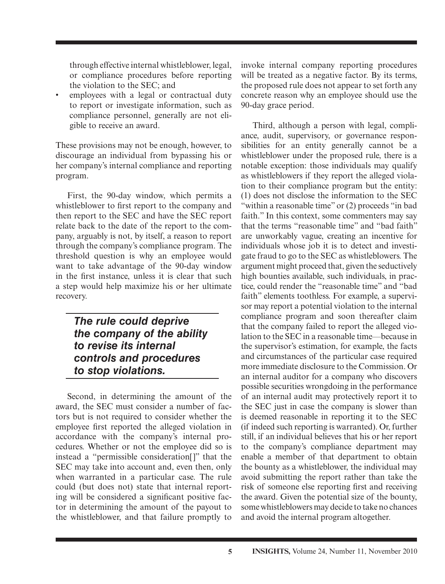through effective internal whistleblower, legal, or compliance procedures before reporting the violation to the SEC; and

employees with a legal or contractual duty to report or investigate information, such as compliance personnel, generally are not eligible to receive an award.

 These provisions may not be enough, however, to discourage an individual from bypassing his or her company's internal compliance and reporting program.

 First, the 90-day window, which permits a whistleblower to first report to the company and then report to the SEC and have the SEC report relate back to the date of the report to the company, arguably is not, by itself, a reason to report through the company's compliance program. The threshold question is why an employee would want to take advantage of the 90-day window in the first instance, unless it is clear that such a step would help maximize his or her ultimate recovery.

## *The rule could deprive the company of the ability to revise its internal controls and procedures to stop violations.*

 Second, in determining the amount of the award, the SEC must consider a number of factors but is not required to consider whether the employee first reported the alleged violation in accordance with the company's internal procedures. Whether or not the employee did so is instead a "permissible consideration[ ]" that the SEC may take into account and, even then, only when warranted in a particular case. The rule could (but does not) state that internal reporting will be considered a significant positive factor in determining the amount of the payout to the whistleblower, and that failure promptly to

invoke internal company reporting procedures will be treated as a negative factor. By its terms, the proposed rule does not appear to set forth any concrete reason why an employee should use the 90-day grace period.

 Third, although a person with legal, compliance, audit, supervisory, or governance responsibilities for an entity generally cannot be a whistleblower under the proposed rule, there is a notable exception: those individuals may qualify as whistleblowers if they report the alleged violation to their compliance program but the entity: (1) does not disclose the information to the SEC "within a reasonable time" or (2) proceeds "in bad faith." In this context, some commenters may say that the terms "reasonable time" and "bad faith" are unworkably vague, creating an incentive for individuals whose job it is to detect and investigate fraud to go to the SEC as whistleblowers. The argument might proceed that, given the seductively high bounties available, such individuals, in practice, could render the "reasonable time" and "bad faith" elements toothless. For example, a supervisor may report a potential violation to the internal compliance program and soon thereafter claim that the company failed to report the alleged violation to the SEC in a reasonable time—because in the supervisor's estimation, for example, the facts and circumstances of the particular case required more immediate disclosure to the Commission. Or an internal auditor for a company who discovers possible securities wrongdoing in the performance of an internal audit may protectively report it to the SEC just in case the company is slower than is deemed reasonable in reporting it to the SEC (if indeed such reporting is warranted). Or, further still, if an individual believes that his or her report to the company's compliance department may enable a member of that department to obtain the bounty as a whistleblower, the individual may avoid submitting the report rather than take the risk of someone else reporting first and receiving the award. Given the potential size of the bounty, some whistleblowers may decide to take no chances and avoid the internal program altogether.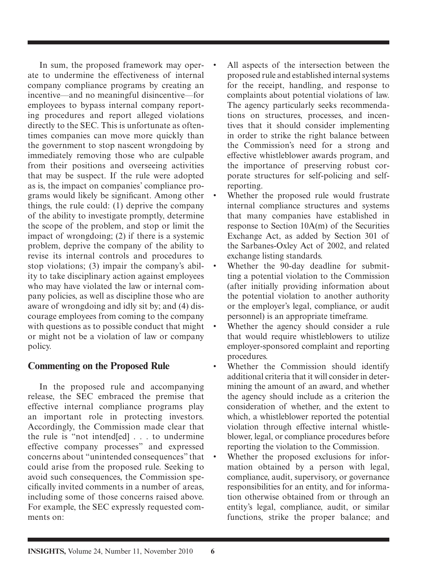In sum, the proposed framework may operate to undermine the effectiveness of internal company compliance programs by creating an incentive—and no meaningful disincentive—for employees to bypass internal company reporting procedures and report alleged violations directly to the SEC. This is unfortunate as oftentimes companies can move more quickly than the government to stop nascent wrongdoing by immediately removing those who are culpable from their positions and overseeing activities that may be suspect. If the rule were adopted as is, the impact on companies' compliance programs would likely be significant. Among other things, the rule could: (1) deprive the company of the ability to investigate promptly, determine the scope of the problem, and stop or limit the impact of wrongdoing; (2) if there is a systemic problem, deprive the company of the ability to revise its internal controls and procedures to stop violations; (3) impair the company's ability to take disciplinary action against employees who may have violated the law or internal company policies, as well as discipline those who are aware of wrongdoing and idly sit by; and (4) discourage employees from coming to the company with questions as to possible conduct that might or might not be a violation of law or company policy.

# **Commenting on the Proposed Rule**

 In the proposed rule and accompanying release, the SEC embraced the premise that effective internal compliance programs play an important role in protecting investors. Accordingly, the Commission made clear that the rule is "not intend[ed] . . . to undermine effective company processes" and expressed concerns about "unintended consequences" that could arise from the proposed rule. Seeking to avoid such consequences, the Commission specifically invited comments in a number of areas. including some of those concerns raised above. For example, the SEC expressly requested comments on:

- All aspects of the intersection between the proposed rule and established internal systems for the receipt, handling, and response to complaints about potential violations of law. The agency particularly seeks recommendations on structures, processes, and incentives that it should consider implementing in order to strike the right balance between the Commission's need for a strong and effective whistleblower awards program, and the importance of preserving robust corporate structures for self-policing and self reporting.
- Whether the proposed rule would frustrate internal compliance structures and systems that many companies have established in response to Section 10A(m) of the Securities Exchange Act, as added by Section 301 of the Sarbanes-Oxley Act of 2002, and related exchange listing standards.
- Whether the 90-day deadline for submitting a potential violation to the Commission (after initially providing information about the potential violation to another authority or the employer's legal, compliance, or audit personnel) is an appropriate timeframe.
- Whether the agency should consider a rule that would require whistleblowers to utilize employer-sponsored complaint and reporting procedures.
- Whether the Commission should identify additional criteria that it will consider in determining the amount of an award, and whether the agency should include as a criterion the consideration of whether, and the extent to which, a whistleblower reported the potential violation through effective internal whistleblower, legal, or compliance procedures before reporting the violation to the Commission.
- Whether the proposed exclusions for information obtained by a person with legal, compliance, audit, supervisory, or governance responsibilities for an entity, and for information otherwise obtained from or through an entity's legal, compliance, audit, or similar functions, strike the proper balance; and